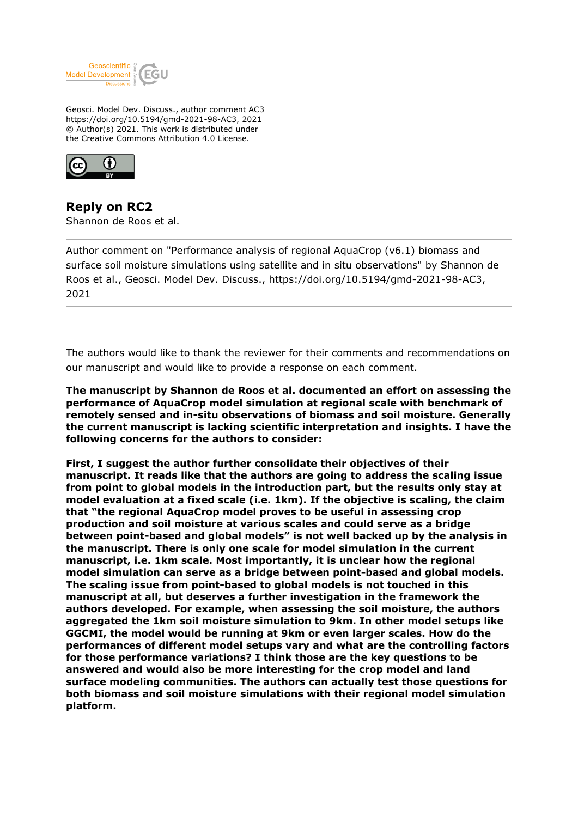

Geosci. Model Dev. Discuss., author comment AC3 https://doi.org/10.5194/gmd-2021-98-AC3, 2021 © Author(s) 2021. This work is distributed under the Creative Commons Attribution 4.0 License.



**Reply on RC2** Shannon de Roos et al.

Author comment on "Performance analysis of regional AquaCrop (v6.1) biomass and surface soil moisture simulations using satellite and in situ observations" by Shannon de Roos et al., Geosci. Model Dev. Discuss., https://doi.org/10.5194/gmd-2021-98-AC3, 2021

The authors would like to thank the reviewer for their comments and recommendations on our manuscript and would like to provide a response on each comment.

**The manuscript by Shannon de Roos et al. documented an effort on assessing the performance of AquaCrop model simulation at regional scale with benchmark of remotely sensed and in-situ observations of biomass and soil moisture. Generally the current manuscript is lacking scientific interpretation and insights. I have the following concerns for the authors to consider:**

**First, I suggest the author further consolidate their objectives of their manuscript. It reads like that the authors are going to address the scaling issue from point to global models in the introduction part, but the results only stay at model evaluation at a fixed scale (i.e. 1km). If the objective is scaling, the claim that "the regional AquaCrop model proves to be useful in assessing crop production and soil moisture at various scales and could serve as a bridge between point-based and global models" is not well backed up by the analysis in the manuscript. There is only one scale for model simulation in the current manuscript, i.e. 1km scale. Most importantly, it is unclear how the regional model simulation can serve as a bridge between point-based and global models. The scaling issue from point-based to global models is not touched in this manuscript at all, but deserves a further investigation in the framework the authors developed. For example, when assessing the soil moisture, the authors aggregated the 1km soil moisture simulation to 9km. In other model setups like GGCMI, the model would be running at 9km or even larger scales. How do the performances of different model setups vary and what are the controlling factors for those performance variations? I think those are the key questions to be answered and would also be more interesting for the crop model and land surface modeling communities. The authors can actually test those questions for both biomass and soil moisture simulations with their regional model simulation platform.**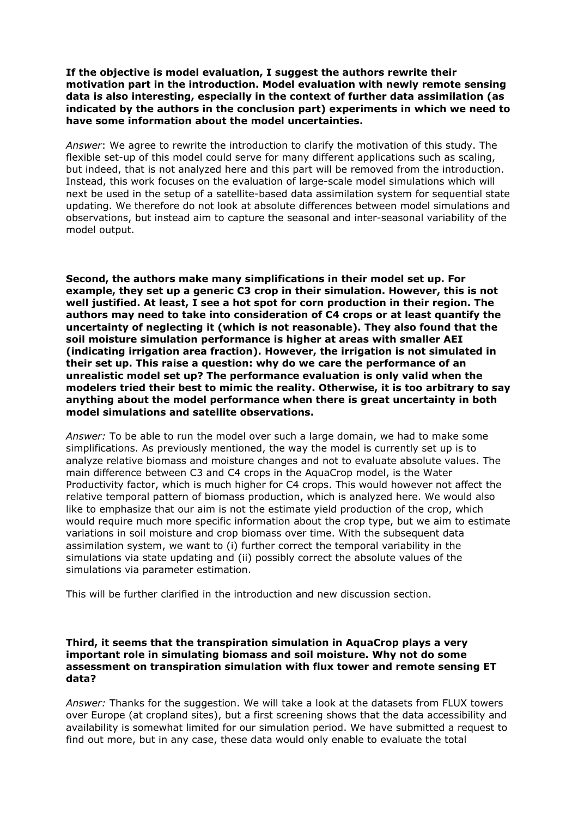**If the objective is model evaluation, I suggest the authors rewrite their motivation part in the introduction. Model evaluation with newly remote sensing data is also interesting, especially in the context of further data assimilation (as indicated by the authors in the conclusion part) experiments in which we need to have some information about the model uncertainties.**

*Answer*: We agree to rewrite the introduction to clarify the motivation of this study. The flexible set-up of this model could serve for many different applications such as scaling, but indeed, that is not analyzed here and this part will be removed from the introduction. Instead, this work focuses on the evaluation of large-scale model simulations which will next be used in the setup of a satellite-based data assimilation system for sequential state updating. We therefore do not look at absolute differences between model simulations and observations, but instead aim to capture the seasonal and inter-seasonal variability of the model output.

**Second, the authors make many simplifications in their model set up. For example, they set up a generic C3 crop in their simulation. However, this is not well justified. At least, I see a hot spot for corn production in their region. The authors may need to take into consideration of C4 crops or at least quantify the uncertainty of neglecting it (which is not reasonable). They also found that the soil moisture simulation performance is higher at areas with smaller AEI (indicating irrigation area fraction). However, the irrigation is not simulated in their set up. This raise a question: why do we care the performance of an unrealistic model set up? The performance evaluation is only valid when the modelers tried their best to mimic the reality. Otherwise, it is too arbitrary to say anything about the model performance when there is great uncertainty in both model simulations and satellite observations.**

*Answer:* To be able to run the model over such a large domain, we had to make some simplifications. As previously mentioned, the way the model is currently set up is to analyze relative biomass and moisture changes and not to evaluate absolute values. The main difference between C3 and C4 crops in the AquaCrop model, is the Water Productivity factor, which is much higher for C4 crops. This would however not affect the relative temporal pattern of biomass production, which is analyzed here. We would also like to emphasize that our aim is not the estimate yield production of the crop, which would require much more specific information about the crop type, but we aim to estimate variations in soil moisture and crop biomass over time. With the subsequent data assimilation system, we want to (i) further correct the temporal variability in the simulations via state updating and (ii) possibly correct the absolute values of the simulations via parameter estimation.

This will be further clarified in the introduction and new discussion section.

#### **Third, it seems that the transpiration simulation in AquaCrop plays a very important role in simulating biomass and soil moisture. Why not do some assessment on transpiration simulation with flux tower and remote sensing ET data?**

*Answer:* Thanks for the suggestion. We will take a look at the datasets from FLUX towers over Europe (at cropland sites), but a first screening shows that the data accessibility and availability is somewhat limited for our simulation period. We have submitted a request to find out more, but in any case, these data would only enable to evaluate the total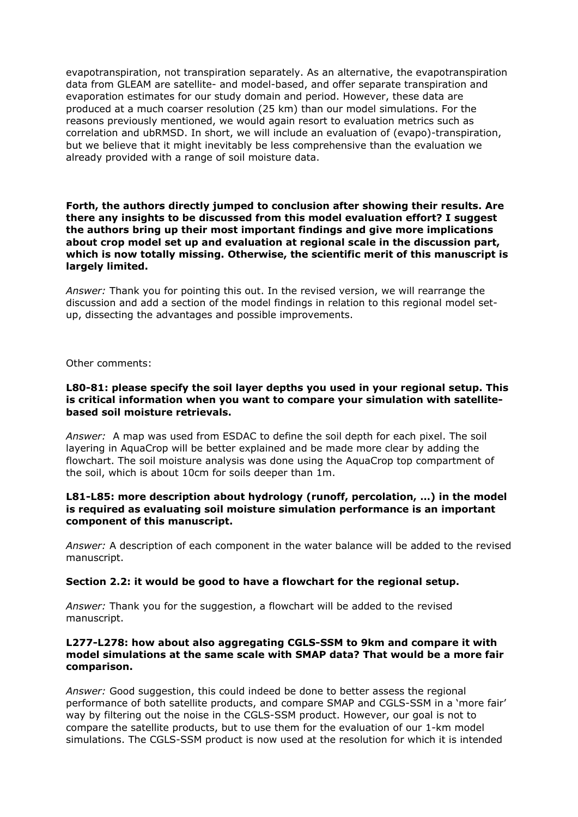evapotranspiration, not transpiration separately. As an alternative, the evapotranspiration data from GLEAM are satellite- and model-based, and offer separate transpiration and evaporation estimates for our study domain and period. However, these data are produced at a much coarser resolution (25 km) than our model simulations. For the reasons previously mentioned, we would again resort to evaluation metrics such as correlation and ubRMSD. In short, we will include an evaluation of (evapo)-transpiration, but we believe that it might inevitably be less comprehensive than the evaluation we already provided with a range of soil moisture data.

# **Forth, the authors directly jumped to conclusion after showing their results. Are there any insights to be discussed from this model evaluation effort? I suggest the authors bring up their most important findings and give more implications about crop model set up and evaluation at regional scale in the discussion part, which is now totally missing. Otherwise, the scientific merit of this manuscript is largely limited.**

*Answer:* Thank you for pointing this out. In the revised version, we will rearrange the discussion and add a section of the model findings in relation to this regional model setup, dissecting the advantages and possible improvements.

Other comments:

# **L80-81: please specify the soil layer depths you used in your regional setup. This is critical information when you want to compare your simulation with satellitebased soil moisture retrievals.**

*Answer:* A map was used from ESDAC to define the soil depth for each pixel. The soil layering in AquaCrop will be better explained and be made more clear by adding the flowchart. The soil moisture analysis was done using the AquaCrop top compartment of the soil, which is about 10cm for soils deeper than 1m.

### **L81-L85: more description about hydrology (runoff, percolation, …) in the model is required as evaluating soil moisture simulation performance is an important component of this manuscript.**

*Answer:* A description of each component in the water balance will be added to the revised manuscript.

### **Section 2.2: it would be good to have a flowchart for the regional setup.**

*Answer:* Thank you for the suggestion, a flowchart will be added to the revised manuscript.

# **L277-L278: how about also aggregating CGLS-SSM to 9km and compare it with model simulations at the same scale with SMAP data? That would be a more fair comparison.**

*Answer:* Good suggestion, this could indeed be done to better assess the regional performance of both satellite products, and compare SMAP and CGLS-SSM in a 'more fair' way by filtering out the noise in the CGLS-SSM product. However, our goal is not to compare the satellite products, but to use them for the evaluation of our 1-km model simulations. The CGLS-SSM product is now used at the resolution for which it is intended